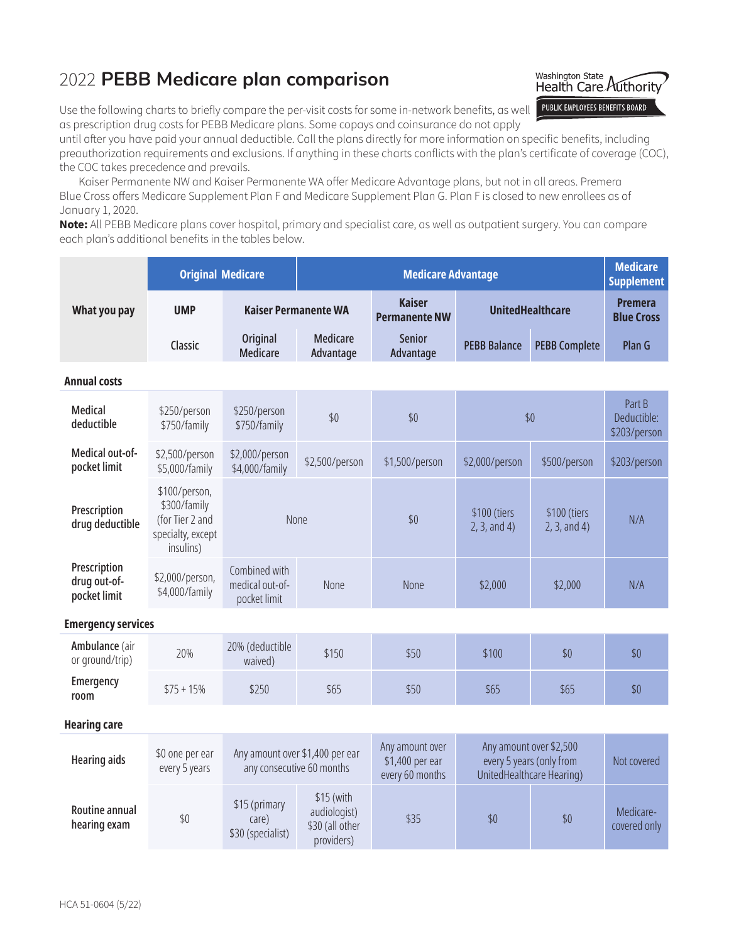## 2022 **PEBB Medicare plan comparison**



Use the following charts to briefly compare the per-visit costs for some in-network benefits, as well as prescription drug costs for PEBB Medicare plans. Some copays and coinsurance do not apply

until after you have paid your annual deductible. Call the plans directly for more information on specific benefits, including preauthorization requirements and exclusions. If anything in these charts conflicts with the plan's certificate of coverage (COC), the COC takes precedence and prevails.

Kaiser Permanente NW and Kaiser Permanente WA offer Medicare Advantage plans, but not in all areas. Premera Blue Cross offers Medicare Supplement Plan F and Medicare Supplement Plan G. Plan F is closed to new enrollees as of January 1, 2020.

**Note:** All PEBB Medicare plans cover hospital, primary and specialist care, as well as outpatient surgery. You can compare each plan's additional benefits in the tables below.

|                                                                                    |                                                  |                                                             | <b>Medicare</b><br><b>Supplement</b>                                 |                                                                                  |                           |                                       |  |
|------------------------------------------------------------------------------------|--------------------------------------------------|-------------------------------------------------------------|----------------------------------------------------------------------|----------------------------------------------------------------------------------|---------------------------|---------------------------------------|--|
| What you pay<br><b>UMP</b>                                                         |                                                  | <b>Kaiser Permanente WA</b>                                 |                                                                      | <b>UnitedHealthcare</b>                                                          |                           | <b>Premera</b><br><b>Blue Cross</b>   |  |
| Classic                                                                            | <b>Original</b><br><b>Medicare</b>               | <b>Medicare</b><br>Advantage                                | <b>Senior</b><br>Advantage                                           | <b>PEBB Balance</b>                                                              | <b>PEBB Complete</b>      | Plan G                                |  |
| <b>Annual costs</b>                                                                |                                                  |                                                             |                                                                      |                                                                                  |                           |                                       |  |
| \$250/person<br>\$750/family                                                       | \$250/person<br>\$750/family                     | \$0                                                         | \$0                                                                  |                                                                                  |                           | Part B<br>Deductible:<br>\$203/person |  |
| \$2,500/person<br>\$5,000/family                                                   | \$2,000/person<br>\$4,000/family                 | \$2,500/person                                              | \$1,500/person                                                       | \$2,000/person                                                                   | \$500/person              | \$203/person                          |  |
| \$100/person,<br>\$300/family<br>(for Tier 2 and<br>specialty, except<br>insulins) |                                                  |                                                             | \$0                                                                  | \$100 (tiers<br>\$100 (tiers<br>2, 3, and 4)<br>2, 3, and 4)                     |                           | N/A                                   |  |
| \$2,000/person,<br>\$4,000/family                                                  | Combined with<br>medical out-of-<br>pocket limit | None                                                        | None                                                                 | \$2,000                                                                          | \$2,000                   | N/A                                   |  |
| <b>Emergency services</b>                                                          |                                                  |                                                             |                                                                      |                                                                                  |                           |                                       |  |
| 20%                                                                                | 20% (deductible<br>waived)                       | \$150                                                       | \$50                                                                 | \$100                                                                            | \$0                       | \$0                                   |  |
| $$75 + 15\%$                                                                       | \$250                                            | \$65                                                        | \$50                                                                 | \$65                                                                             | \$65                      | \$0                                   |  |
|                                                                                    |                                                  |                                                             |                                                                      |                                                                                  |                           |                                       |  |
| \$0 one per ear<br>every 5 years                                                   |                                                  |                                                             | Any amount over<br>\$1,400 per ear<br>every 60 months                | Any amount over \$2,500<br>every 5 years (only from<br>UnitedHealthcare Hearing) |                           | Not covered                           |  |
| $$0$$                                                                              | \$15 (primary<br>care)<br>\$30 (specialist)      | \$15 (with<br>audiologist)<br>\$30 (all other<br>providers) | \$35                                                                 | \$0                                                                              | \$0                       | Medicare-<br>covered only             |  |
|                                                                                    |                                                  | <b>Original Medicare</b>                                    | None<br>Any amount over \$1,400 per ear<br>any consecutive 60 months | <b>Kaiser</b><br><b>Permanente NW</b>                                            | <b>Medicare Advantage</b> | \$0                                   |  |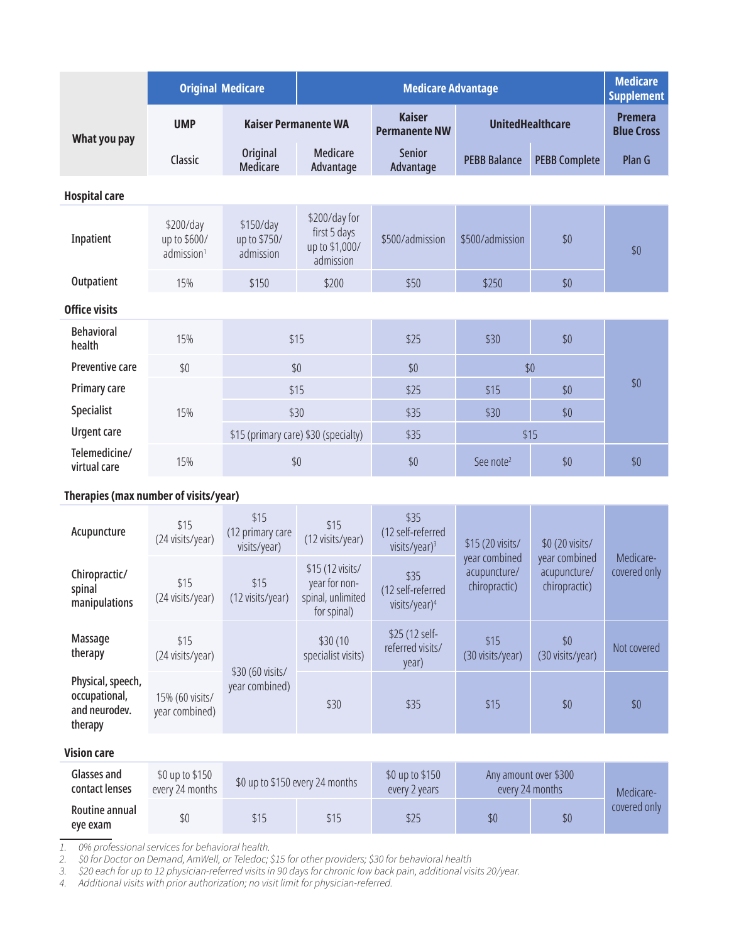|                               | <b>Original Medicare</b>                            |                                        | <b>Medicare Advantage</b>                                    |                                       |                         |                      | <b>Medicare</b><br><b>Supplement</b> |
|-------------------------------|-----------------------------------------------------|----------------------------------------|--------------------------------------------------------------|---------------------------------------|-------------------------|----------------------|--------------------------------------|
| What you pay                  | <b>UMP</b>                                          | <b>Kaiser Permanente WA</b>            |                                                              | <b>Kaiser</b><br><b>Permanente NW</b> | <b>UnitedHealthcare</b> |                      | <b>Premera</b><br><b>Blue Cross</b>  |
|                               | Classic                                             | <b>Original</b><br><b>Medicare</b>     | Medicare<br>Advantage                                        | Senior<br>Advantage                   | <b>PEBB Balance</b>     | <b>PEBB Complete</b> | Plan G                               |
| <b>Hospital care</b>          |                                                     |                                        |                                                              |                                       |                         |                      |                                      |
| Inpatient                     | \$200/day<br>up to \$600/<br>admission <sup>1</sup> | \$150/day<br>up to \$750/<br>admission | \$200/day for<br>first 5 days<br>up to \$1,000/<br>admission | \$500/admission                       | \$500/admission         | \$0                  | \$0                                  |
| Outpatient                    | 15%                                                 | \$150                                  | \$200                                                        | \$50                                  | \$250                   | \$0                  |                                      |
| <b>Office visits</b>          |                                                     |                                        |                                                              |                                       |                         |                      |                                      |
| <b>Behavioral</b><br>health   | 15%                                                 | \$15                                   |                                                              | \$25                                  | \$30                    | \$0                  |                                      |
| <b>Preventive care</b>        | \$0                                                 | \$0                                    |                                                              | \$0                                   |                         | \$0                  |                                      |
| Primary care                  |                                                     | \$15                                   |                                                              | \$25                                  | \$15                    | \$0                  | \$0                                  |
| <b>Specialist</b>             | 15%                                                 | \$30                                   |                                                              | \$35                                  | \$30                    | \$0                  |                                      |
| <b>Urgent care</b>            |                                                     | \$15 (primary care) \$30 (specialty)   |                                                              | \$35                                  |                         | \$15                 |                                      |
| Telemedicine/<br>virtual care | 15%                                                 | \$0                                    |                                                              | \$0                                   | See note <sup>2</sup>   | \$0                  | \$0                                  |

## **Therapies (max number of visits/year)**

| Acupuncture                                                    | \$15<br>(24 visits/year)          | \$15<br>(12 primary care<br>visits/year) | \$15<br>(12 visits/year)                                              | \$35<br>(12 self-referred<br>visits/year) <sup>3</sup> | \$15 (20 visits/                               | \$0 (20 visits/                                | Medicare-<br>covered only |
|----------------------------------------------------------------|-----------------------------------|------------------------------------------|-----------------------------------------------------------------------|--------------------------------------------------------|------------------------------------------------|------------------------------------------------|---------------------------|
| Chiropractic/<br>spinal<br>manipulations                       | \$15<br>(24 visits/year)          | \$15<br>(12 visits/year)                 | \$15 (12 visits/<br>year for non-<br>spinal, unlimited<br>for spinal) | \$35<br>(12 self-referred<br>visits/year) <sup>4</sup> | year combined<br>acupuncture/<br>chiropractic) | year combined<br>acupuncture/<br>chiropractic) |                           |
| Massage<br>therapy                                             | \$15<br>(24 visits/year)          |                                          | \$30(10)<br>specialist visits)                                        | \$25 (12 self-<br>referred visits/<br>year)            | \$15<br>(30 visits/year)                       | \$0<br>(30 visits/year)                        | Not covered               |
| Physical, speech,<br>occupational,<br>and neurodev.<br>therapy | 15% (60 visits/<br>year combined) | \$30 (60 visits/<br>year combined)       | \$30                                                                  | \$35                                                   | \$15                                           | \$0                                            | \$0                       |

## **Vision care**

| Glasses and<br>contact lenses | \$0 up to \$150<br>every 24 months | \$0 up to \$150 every 24 months |      | \$0 up to \$150<br>every 2 years | Any amount over \$300<br>every 24 months |     | Medicare-    |
|-------------------------------|------------------------------------|---------------------------------|------|----------------------------------|------------------------------------------|-----|--------------|
| Routine annual<br>eve exam    | \$0                                | \$15                            | \$15 | \$25                             | \$0                                      | \$0 | covered only |

*1. 0% professional services for behavioral health.*

*2. \$0 for Doctor on Demand, AmWell, or Teledoc; \$15 for other providers; \$30 for behavioral health*

*3. \$20 each for up to 12 physician-referred visits in 90 days for chronic low back pain, additional visits 20/year.*

*4. Additional visits with prior authorization; no visit limit for physician-referred.*